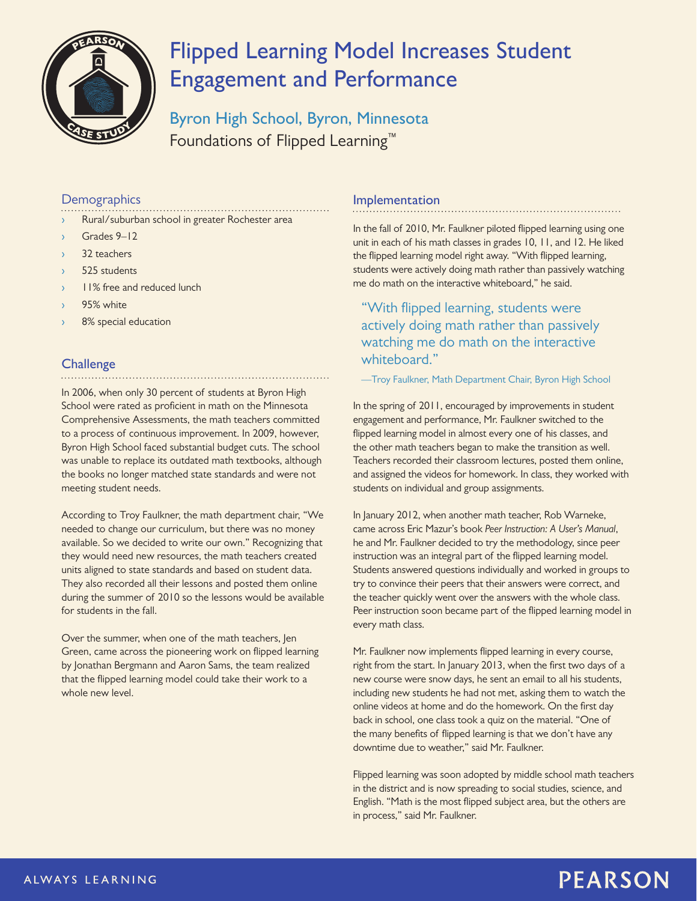

# **Flipped Learning Model Increases Student Engagement and Performance**

**Byron High School, Byron, Minnesota** Foundations of Flipped Learning™

### **Demographics**

- Rural/suburban school in greater Rochester area
- Grades 9-12
- 32 teachers
- 525 students
- 11% free and reduced lunch
- 95% white
- 8% special education

### **Challenge**

In 2006, when only 30 percent of students at Byron High School were rated as proficient in math on the Minnesota Comprehensive Assessments, the math teachers committed to a process of continuous improvement. In 2009, however, Byron High School faced substantial budget cuts. The school was unable to replace its outdated math textbooks, although the books no longer matched state standards and were not meeting student needs.

According to Troy Faulkner, the math department chair, "We needed to change our curriculum, but there was no money available. So we decided to write our own." Recognizing that they would need new resources, the math teachers created units aligned to state standards and based on student data. They also recorded all their lessons and posted them online during the summer of 2010 so the lessons would be available for students in the fall.

Over the summer, when one of the math teachers, Jen Green, came across the pioneering work on flipped learning by Jonathan Bergmann and Aaron Sams, the team realized that the flipped learning model could take their work to a whole new level.

#### **Implementation**

In the fall of 2010, Mr. Faulkner piloted flipped learning using one unit in each of his math classes in grades 10, 11, and 12. He liked the flipped learning model right away. "With flipped learning, students were actively doing math rather than passively watching me do math on the interactive whiteboard," he said.

"With flipped learning, students were actively doing math rather than passively watching me do math on the interactive whiteboard."

—Troy Faulkner, Math Department Chair, Byron High School

In the spring of 2011, encouraged by improvements in student engagement and performance, Mr. Faulkner switched to the flipped learning model in almost every one of his classes, and the other math teachers began to make the transition as well. Teachers recorded their classroom lectures, posted them online, and assigned the videos for homework. In class, they worked with students on individual and group assignments.

In January 2012, when another math teacher, Rob Warneke, came across Eric Mazur's book *Peer Instruction: A User's Manual*, he and Mr. Faulkner decided to try the methodology, since peer instruction was an integral part of the flipped learning model. Students answered questions individually and worked in groups to try to convince their peers that their answers were correct, and the teacher quickly went over the answers with the whole class. Peer instruction soon became part of the flipped learning model in every math class.

Mr. Faulkner now implements flipped learning in every course, right from the start. In January 2013, when the first two days of a new course were snow days, he sent an email to all his students, including new students he had not met, asking them to watch the online videos at home and do the homework. On the first day back in school, one class took a quiz on the material. "One of the many benefits of flipped learning is that we don't have any downtime due to weather," said Mr. Faulkner.

Flipped learning was soon adopted by middle school math teachers in the district and is now spreading to social studies, science, and English. "Math is the most flipped subject area, but the others are in process," said Mr. Faulkner.

## **PEARSON**